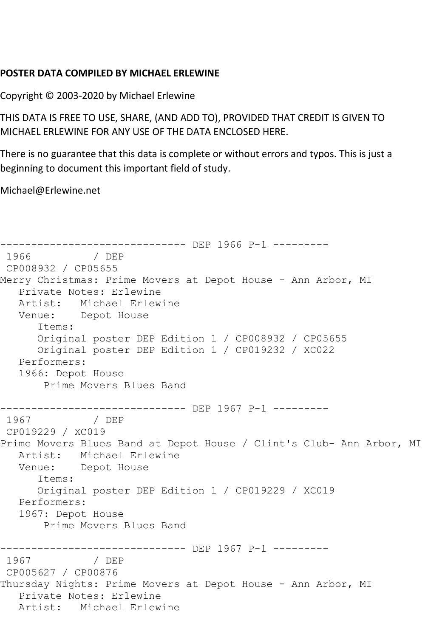## **POSTER DATA COMPILED BY MICHAEL ERLEWINE**

Copyright © 2003-2020 by Michael Erlewine

THIS DATA IS FREE TO USE, SHARE, (AND ADD TO), PROVIDED THAT CREDIT IS GIVEN TO MICHAEL ERLEWINE FOR ANY USE OF THE DATA ENCLOSED HERE.

There is no guarantee that this data is complete or without errors and typos. This is just a beginning to document this important field of study.

Michael@Erlewine.net

```
------------------------------- DEP 1966 P-1 ---------<br>1966             / DEP
1966
CP008932 / CP05655
Merry Christmas: Prime Movers at Depot House - Ann Arbor, MI
   Private Notes: Erlewine
   Artist: Michael Erlewine
   Venue: Depot House
       Items:
       Original poster DEP Edition 1 / CP008932 / CP05655
       Original poster DEP Edition 1 / CP019232 / XC022
   Performers:
    1966: Depot House
        Prime Movers Blues Band
------------------------------ DEP 1967 P-1 ---------
1967 / DEP 
CP019229 / XC019
Prime Movers Blues Band at Depot House / Clint's Club- Ann Arbor, MI
   Artist: Michael Erlewine
   Venue: Depot House
       Items:
       Original poster DEP Edition 1 / CP019229 / XC019
   Performers:
    1967: Depot House
        Prime Movers Blues Band
-------------------------------- DEP 1967 P-1 ---------<br>1967               / DEP
               1967 / DEP 
CP005627 / CP00876
Thursday Nights: Prime Movers at Depot House - Ann Arbor, MI
   Private Notes: Erlewine
   Artist: Michael Erlewine
```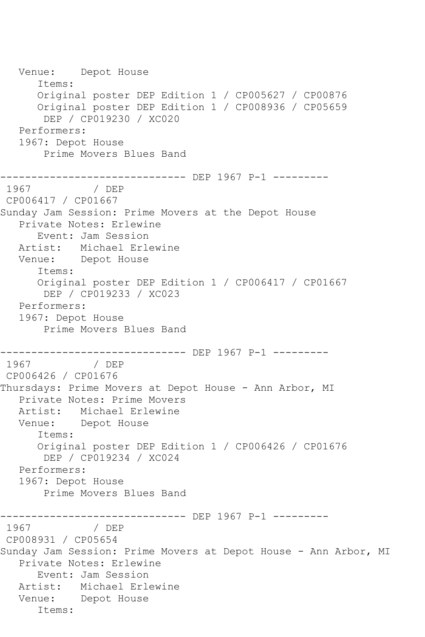Venue: Depot House Items: Original poster DEP Edition 1 / CP005627 / CP00876 Original poster DEP Edition 1 / CP008936 / CP05659 DEP / CP019230 / XC020 Performers: 1967: Depot House Prime Movers Blues Band ------------------------------ DEP 1967 P-1 --------- 1967 / DEP CP006417 / CP01667 Sunday Jam Session: Prime Movers at the Depot House Private Notes: Erlewine Event: Jam Session Artist: Michael Erlewine Venue: Depot House Items: Original poster DEP Edition 1 / CP006417 / CP01667 DEP / CP019233 / XC023 Performers: 1967: Depot House Prime Movers Blues Band ------------------------------ DEP 1967 P-1 ---------<br>1967 / DEP 1967 / DEP CP006426 / CP01676 Thursdays: Prime Movers at Depot House - Ann Arbor, MI Private Notes: Prime Movers Artist: Michael Erlewine Venue: Depot House Items: Original poster DEP Edition 1 / CP006426 / CP01676 DEP / CP019234 / XC024 Performers: 1967: Depot House Prime Movers Blues Band ------------------------------ DEP 1967 P-1 --------- 1967 / DEP CP008931 / CP05654 Sunday Jam Session: Prime Movers at Depot House - Ann Arbor, MI Private Notes: Erlewine Event: Jam Session Artist: Michael Erlewine Venue: Depot House Items: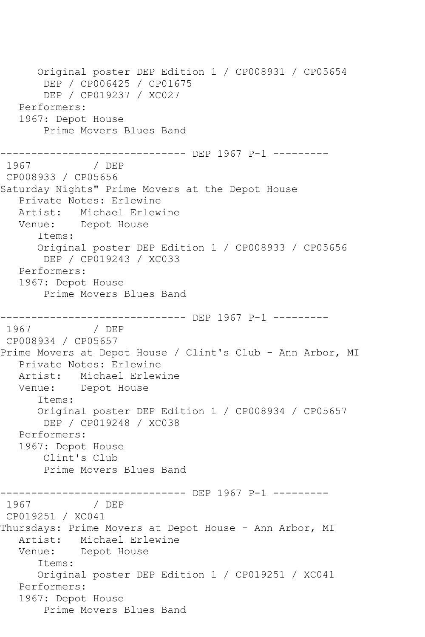Original poster DEP Edition 1 / CP008931 / CP05654 DEP / CP006425 / CP01675 DEP / CP019237 / XC027 Performers: 1967: Depot House Prime Movers Blues Band ------------------------------ DEP 1967 P-1 --------- 1967 / DEP CP008933 / CP05656 Saturday Nights" Prime Movers at the Depot House Private Notes: Erlewine Artist: Michael Erlewine Venue: Depot House Items: Original poster DEP Edition 1 / CP008933 / CP05656 DEP / CP019243 / XC033 Performers: 1967: Depot House Prime Movers Blues Band ------------------------------ DEP 1967 P-1 --------- 1967 / DEP CP008934 / CP05657 Prime Movers at Depot House / Clint's Club - Ann Arbor, MI Private Notes: Erlewine Artist: Michael Erlewine Venue: Depot House Items: Original poster DEP Edition 1 / CP008934 / CP05657 DEP / CP019248 / XC038 Performers: 1967: Depot House Clint's Club Prime Movers Blues Band -------------------------------- DEP 1967 P-1 ---------<br>1967 / DEP 1967 CP019251 / XC041 Thursdays: Prime Movers at Depot House - Ann Arbor, MI Artist: Michael Erlewine Venue: Depot House Items: Original poster DEP Edition 1 / CP019251 / XC041 Performers: 1967: Depot House Prime Movers Blues Band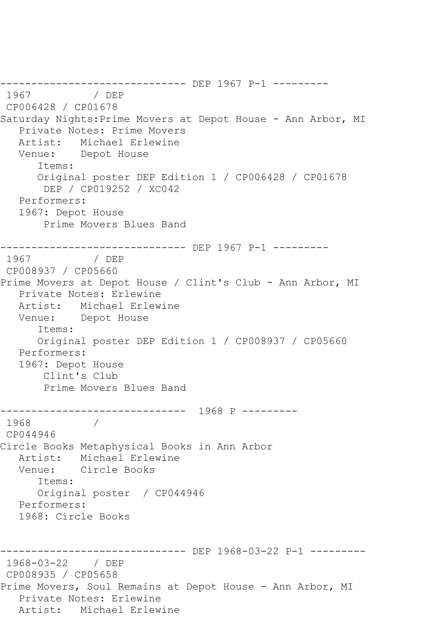------------------------------- DEP 1967 P-1 ---------<br>1967 / DEP 1967 CP006428 / CP01678 Saturday Nights:Prime Movers at Depot House - Ann Arbor, MI Private Notes: Prime Movers Artist: Michael Erlewine Venue: Depot House Items: Original poster DEP Edition 1 / CP006428 / CP01678 DEP / CP019252 / XC042 Performers: 1967: Depot House Prime Movers Blues Band ------------------------------ DEP 1967 P-1 --------- 1967 / DEP CP008937 / CP05660 Prime Movers at Depot House / Clint's Club - Ann Arbor, MI Private Notes: Erlewine Artist: Michael Erlewine Venue: Depot House Items: Original poster DEP Edition 1 / CP008937 / CP05660 Performers: 1967: Depot House Clint's Club Prime Movers Blues Band ------------------------------ 1968 P --------- 1968 / CP044946 Circle Books Metaphysical Books in Ann Arbor Artist: Michael Erlewine Venue: Circle Books Items: Original poster / CP044946 Performers: 1968: Circle Books ------------------------------ DEP 1968-03-22 P-1 --------- 1968-03-22 / DEP CP008935 / CP05658 Prime Movers, Soul Remains at Depot House - Ann Arbor, MI Private Notes: Erlewine Artist: Michael Erlewine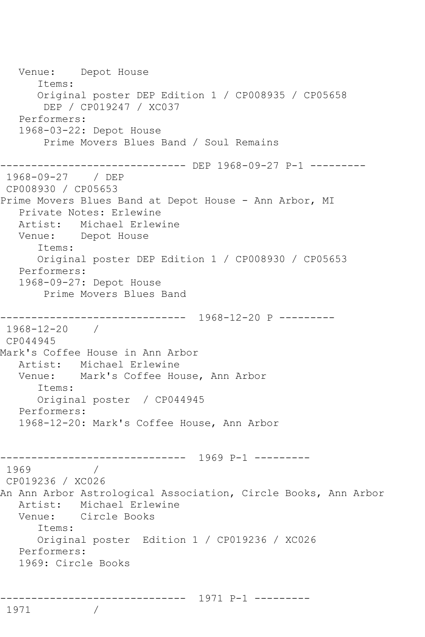Venue: Depot House Items: Original poster DEP Edition 1 / CP008935 / CP05658 DEP / CP019247 / XC037 Performers: 1968-03-22: Depot House Prime Movers Blues Band / Soul Remains ------------------------------ DEP 1968-09-27 P-1 --------- 1968-09-27 / DEP CP008930 / CP05653 Prime Movers Blues Band at Depot House - Ann Arbor, MI Private Notes: Erlewine Artist: Michael Erlewine Venue: Depot House Items: Original poster DEP Edition 1 / CP008930 / CP05653 Performers: 1968-09-27: Depot House Prime Movers Blues Band ------------------------------ 1968-12-20 P --------- 1968-12-20 / CP044945 Mark's Coffee House in Ann Arbor Artist: Michael Erlewine Venue: Mark's Coffee House, Ann Arbor Items: Original poster / CP044945 Performers: 1968-12-20: Mark's Coffee House, Ann Arbor ------------------------------ 1969 P-1 --------- 1969 / CP019236 / XC026 An Ann Arbor Astrological Association, Circle Books, Ann Arbor Artist: Michael Erlewine Venue: Circle Books Items: Original poster Edition 1 / CP019236 / XC026 Performers: 1969: Circle Books ------------------------------ 1971 P-1 ---------

1971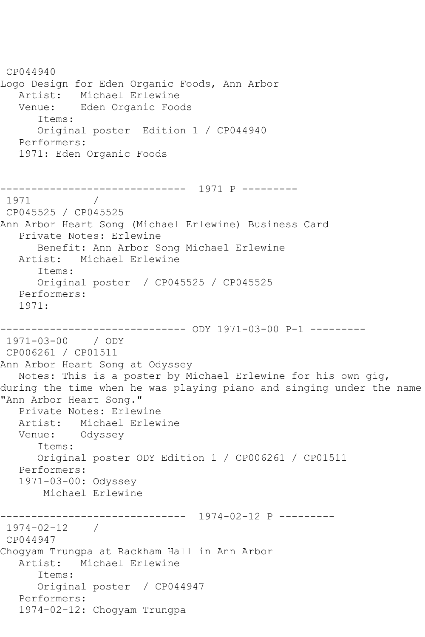CP044940 Logo Design for Eden Organic Foods, Ann Arbor Artist: Michael Erlewine Venue: Eden Organic Foods Items: Original poster Edition 1 / CP044940 Performers: 1971: Eden Organic Foods ------------------------------ 1971 P --------- 1971 / CP045525 / CP045525 Ann Arbor Heart Song (Michael Erlewine) Business Card Private Notes: Erlewine Benefit: Ann Arbor Song Michael Erlewine Artist: Michael Erlewine Items: Original poster / CP045525 / CP045525 Performers: 1971: ------------------------------ ODY 1971-03-00 P-1 --------- 1971-03-00 / ODY CP006261 / CP01511 Ann Arbor Heart Song at Odyssey Notes: This is a poster by Michael Erlewine for his own gig, during the time when he was playing piano and singing under the name "Ann Arbor Heart Song." Private Notes: Erlewine Artist: Michael Erlewine Venue: Odyssey Items: Original poster ODY Edition 1 / CP006261 / CP01511 Performers: 1971-03-00: Odyssey Michael Erlewine ------------------------------ 1974-02-12 P --------- 1974-02-12 / CP044947 Chogyam Trungpa at Rackham Hall in Ann Arbor Artist: Michael Erlewine Items: Original poster / CP044947 Performers: 1974-02-12: Chogyam Trungpa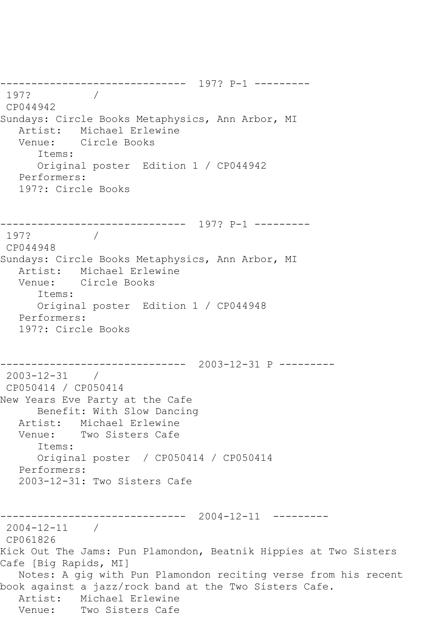------------------------------ 197? P-1 --------- 197? / CP044942 Sundays: Circle Books Metaphysics, Ann Arbor, MI Artist: Michael Erlewine<br>Venue: Circle Books Circle Books Items: Original poster Edition 1 / CP044942 Performers: 197?: Circle Books ------------------------------ 197? P-1 --------- 197? CP044948 Sundays: Circle Books Metaphysics, Ann Arbor, MI Artist: Michael Erlewine Venue: Circle Books Items: Original poster Edition 1 / CP044948 Performers: 197?: Circle Books ------------------------------ 2003-12-31 P --------- 2003-12-31 / CP050414 / CP050414 New Years Eve Party at the Cafe Benefit: With Slow Dancing Artist: Michael Erlewine Venue: Two Sisters Cafe Items: Original poster / CP050414 / CP050414 Performers: 2003-12-31: Two Sisters Cafe ------------------------------ 2004-12-11 --------- 2004-12-11 / CP061826 Kick Out The Jams: Pun Plamondon, Beatnik Hippies at Two Sisters Cafe [Big Rapids, MI] Notes: A gig with Pun Plamondon reciting verse from his recent book against a jazz/rock band at the Two Sisters Cafe. Artist: Michael Erlewine<br>Venue: Two Sisters Cafe Two Sisters Cafe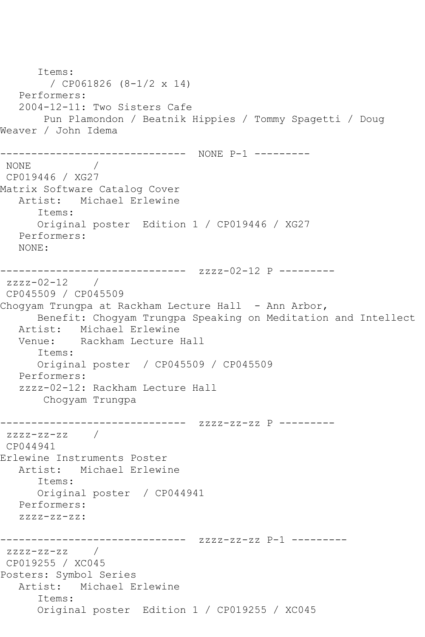Items: / CP061826 (8-1/2 x 14) Performers: 2004-12-11: Two Sisters Cafe Pun Plamondon / Beatnik Hippies / Tommy Spagetti / Doug Weaver / John Idema ------------------------------ NONE P-1 --------- NONE / CP019446 / XG27 Matrix Software Catalog Cover Artist: Michael Erlewine Items: Original poster Edition 1 / CP019446 / XG27 Performers: NONE: ------------------------------ zzzz-02-12 P -------- zzzz-02-12 / CP045509 / CP045509 Chogyam Trungpa at Rackham Lecture Hall - Ann Arbor, Benefit: Chogyam Trungpa Speaking on Meditation and Intellect Artist: Michael Erlewine<br>Venue: Rackham Lecture Rackham Lecture Hall Items: Original poster / CP045509 / CP045509 Performers: zzzz-02-12: Rackham Lecture Hall Chogyam Trungpa ------------------------------ zzzz-zz-zz P -------- zzzz-zz-zz / CP044941 Erlewine Instruments Poster Artist: Michael Erlewine Items: Original poster / CP044941 Performers: zzzz-zz-zz: ------------------------------ zzzz-zz-zz P-1 -------- zzzz-zz-zz / CP019255 / XC045 Posters: Symbol Series Artist: Michael Erlewine Items: Original poster Edition 1 / CP019255 / XC045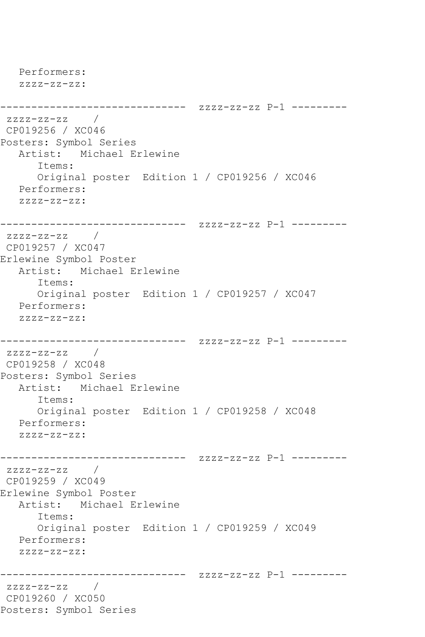```
 Performers:
   zzzz-zz-zz:
------------------------------ zzzz-zz-zz P-1 ---------
zzzz-zz-zz /
CP019256 / XC046
Posters: Symbol Series
   Artist: Michael Erlewine
      Items:
      Original poster Edition 1 / CP019256 / XC046
   Performers:
   zzzz-zz-zz:
------------------------------ zzzz-zz-zz P-1 ---------
zzzz-zz-zz / 
CP019257 / XC047
Erlewine Symbol Poster
   Artist: Michael Erlewine
      Items:
      Original poster Edition 1 / CP019257 / XC047
   Performers:
   zzzz-zz-zz:
------------------------------ zzzz-zz-zz P-1 ---------
zzzz-zz-zz / 
CP019258 / XC048
Posters: Symbol Series
   Artist: Michael Erlewine
      Items:
      Original poster Edition 1 / CP019258 / XC048
   Performers:
   zzzz-zz-zz:
------------------------------ zzzz-zz-zz P-1 ---------
zzzz-zz-zz / 
CP019259 / XC049
Erlewine Symbol Poster
   Artist: Michael Erlewine
      Items:
      Original poster Edition 1 / CP019259 / XC049
   Performers:
   zzzz-zz-zz:
------------------------------ zzzz-zz-zz P-1 ---------
zzzz-zz-zz / 
CP019260 / XC050
Posters: Symbol Series
```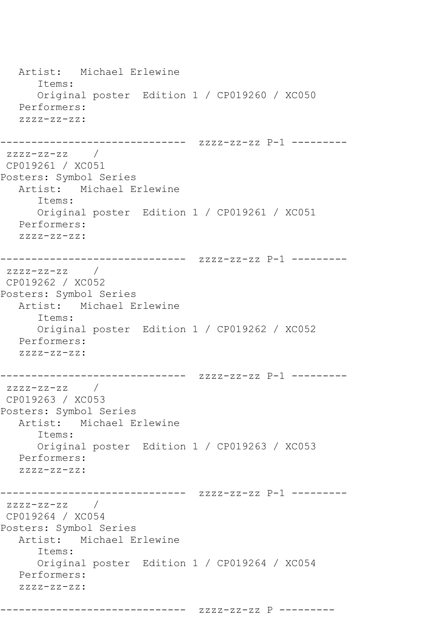```
 Artist: Michael Erlewine
      Items:
      Original poster Edition 1 / CP019260 / XC050
   Performers:
  ZZZZ-ZZ-ZZ:
------------------------------ zzzz-zz-zz P-1 ---------
zzzz-zz-zz / 
CP019261 / XC051
Posters: Symbol Series
   Artist: Michael Erlewine
      Items:
      Original poster Edition 1 / CP019261 / XC051
   Performers:
   zzzz-zz-zz:
------------------------------ zzzz-zz-zz P-1 ---------
zzzz-zz-zz /
CP019262 / XC052
Posters: Symbol Series
   Artist: Michael Erlewine
      Items:
      Original poster Edition 1 / CP019262 / XC052
   Performers:
   zzzz-zz-zz:
------------------------------ zzzz-zz-zz P-1 ---------
zzzz-zz-zz /
CP019263 / XC053
Posters: Symbol Series
   Artist: Michael Erlewine
      Items:
      Original poster Edition 1 / CP019263 / XC053
   Performers:
   zzzz-zz-zz:
------------------------------ zzzz-zz-zz P-1 ---------
zzzz-zz-zz / 
CP019264 / XC054
Posters: Symbol Series
   Artist: Michael Erlewine
      Items:
      Original poster Edition 1 / CP019264 / XC054
   Performers:
   zzzz-zz-zz:
```
------------------------------ zzzz-zz-zz P ---------